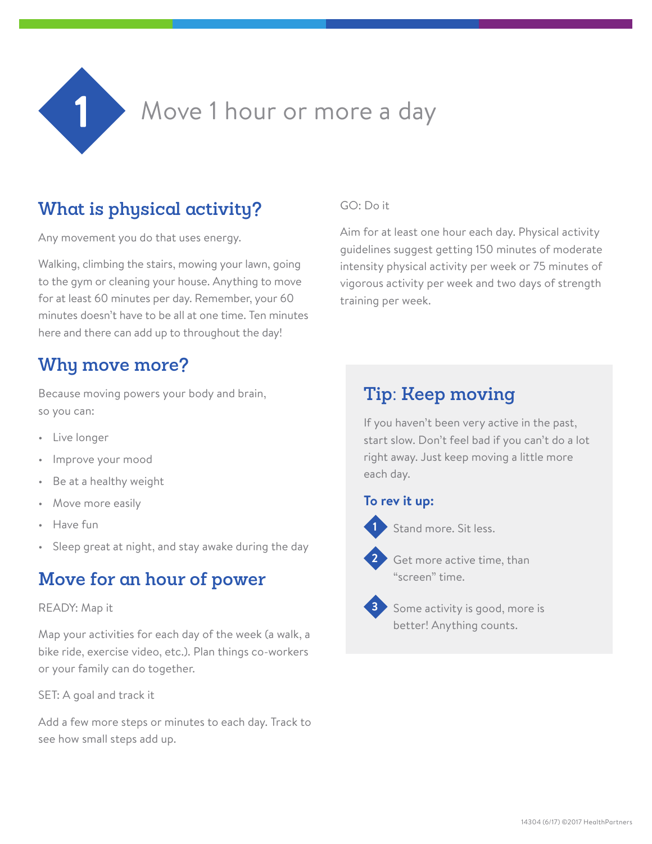

# **What is physical activity?**

Any movement you do that uses energy.

Walking, climbing the stairs, mowing your lawn, going to the gym or cleaning your house. Anything to move for at least 60 minutes per day. Remember, your 60 minutes doesn't have to be all at one time. Ten minutes here and there can add up to throughout the day!

## **Why move more?**

Because moving powers your body and brain, so you can:

- Live longer
- Improve your mood
- Be at a healthy weight
- Move more easily
- Have fun
- Sleep great at night, and stay awake during the day

## **Move for an hour of power**

#### READY: Map it

Map your activities for each day of the week (a walk, a bike ride, exercise video, etc.). Plan things co-workers or your family can do together.

SET: A goal and track it

Add a few more steps or minutes to each day. Track to see how small steps add up.

#### GO: Do it

Aim for at least one hour each day. Physical activity guidelines suggest getting 150 minutes of moderate intensity physical activity per week or 75 minutes of vigorous activity per week and two days of strength training per week.

## **Tip: Keep moving**

If you haven't been very active in the past, start slow. Don't feel bad if you can't do a lot right away. Just keep moving a little more each day.

#### **To rev it up:**



Stand more. Sit less.



Get more active time, than "screen" time.



Some activity is good, more is better! Anything counts.